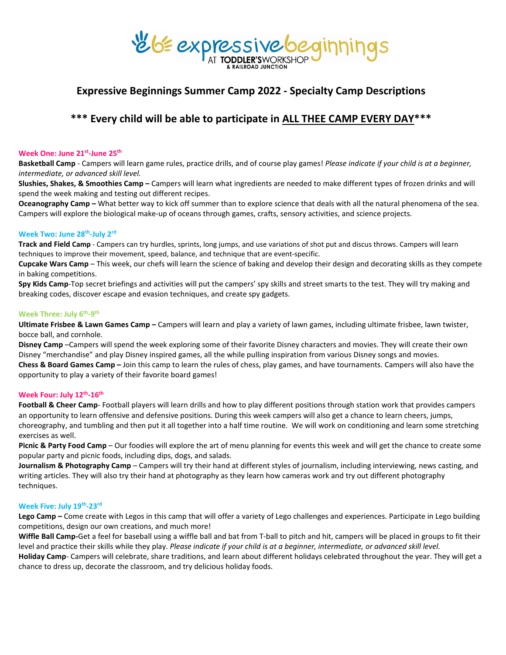# reléexpressive beginnings

## **Expressive Beginnings Summer Camp 2022 - Specialty Camp Descriptions**

## **\*\*\* Every child will be able to participate in ALL THEE CAMP EVERY DAY\*\*\***

#### **Week One: June 21st-June 25th**

**Basketball Camp** - Campers will learn game rules, practice drills, and of course play games! *Please indicate if your child is at a beginner, intermediate, or advanced skill level.*

**Slushies, Shakes, & Smoothies Camp –** Campers will learn what ingredients are needed to make different types of frozen drinks and will spend the week making and testing out different recipes.

**Oceanography Camp –** What better way to kick off summer than to explore science that deals with all the natural phenomena of the sea. Campers will explore the biological make-up of oceans through games, crafts, sensory activities, and science projects.

#### **Week Two: June 28th-July 2rd**

**Track and Field Camp** - Campers can try hurdles, sprints, long jumps, and use variations of shot put and discus throws. Campers will learn techniques to improve their movement, speed, balance, and technique that are event-specific.

**Cupcake Wars Camp** – This week, our chefs will learn the science of baking and develop their design and decorating skills as they compete in baking competitions.

**Spy Kids Camp**-Top secret briefings and activities will put the campers' spy skills and street smarts to the test. They will try making and breaking codes, discover escape and evasion techniques, and create spy gadgets.

#### **Week Three: July 6th-9th**

**Ultimate Frisbee & Lawn Games Camp –** Campers will learn and play a variety of lawn games, including ultimate frisbee, lawn twister, bocce ball, and cornhole.

**Disney Camp** –Campers will spend the week exploring some of their favorite Disney characters and movies. They will create their own Disney "merchandise" and play Disney inspired games, all the while pulling inspiration from various Disney songs and movies. **Chess & Board Games Camp –** Join this camp to learn the rules of chess, play games, and have tournaments. Campers will also have the opportunity to play a variety of their favorite board games!

#### **Week Four: July 12th-16th**

**Football & Cheer Camp**- Football players will learn drills and how to play different positions through station work that provides campers an opportunity to learn offensive and defensive positions. During this week campers will also get a chance to learn cheers, jumps, choreography, and tumbling and then put it all together into a half time routine. We will work on conditioning and learn some stretching exercises as well.

**Picnic & Party Food Camp** – Our foodies will explore the art of menu planning for events this week and will get the chance to create some popular party and picnic foods, including dips, dogs, and salads.

**Journalism & Photography Camp** – Campers will try their hand at different styles of journalism, including interviewing, news casting, and writing articles. They will also try their hand at photography as they learn how cameras work and try out different photography techniques.

#### **Week Five: July 19th-23rd**

**Lego Camp –** Come create with Legos in this camp that will offer a variety of Lego challenges and experiences. Participate in Lego building competitions, design our own creations, and much more!

**Wiffle Ball Camp-**Get a feel for baseball using a wiffle ball and bat from T-ball to pitch and hit, campers will be placed in groups to fit their level and practice their skills while they play. *Please indicate if your child is at a beginner, intermediate, or advanced skill level.*

**Holiday Camp**- Campers will celebrate, share traditions, and learn about different holidays celebrated throughout the year. They will get a chance to dress up, decorate the classroom, and try delicious holiday foods.